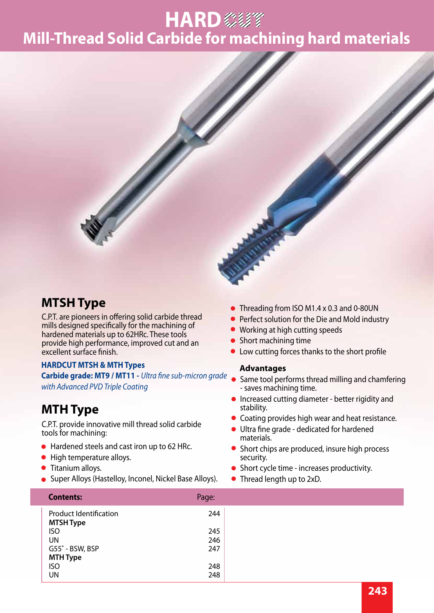## **Mill-Thread Solid Carbide for machining hard materials HARD** 参考



#### **MTSH Type**

C.P.T. are pioneers in offering solid carbide thread mills designed specifically for the machining of hardened materials up to 62HRc. These tools provide high performance, improved cut and an excellent surface finish.

#### **HARDCUT MTSH & MTH Types**

Carbide grade: MT9 / MT11 - *Ultra fine sub-micron grade* Same tool performs thread milling and chamfering *with Advanced PVD Triple Coating*

#### **MTH Type**

C.P.T. provide innovative mill thread solid carbide tools for machining:

- Hardened steels and cast iron up to 62 HRc.
- High temperature alloys.
- **Titanium alloys.**
- **Super Alloys (Hastelloy, Inconel, Nickel Base Alloys).**
- Threading from ISO M1.4 x 0.3 and 0-80UN
- Perfect solution for the Die and Mold industry
- Working at high cutting speeds
- Short machining time
- Low cutting forces thanks to the short profile

#### **Advantages**

- saves machining time.
- **•** Increased cutting diameter better rigidity and stability.
- Coating provides high wear and heat resistance.
- **•** Ultra fine grade dedicated for hardened materials.
- Short chips are produced, insure high process security.
- Short cycle time increases productivity.
- Thread length up to 2xD.

| <b>Contents:</b>                                  | Page: |
|---------------------------------------------------|-------|
| <b>Product Identification</b><br><b>MTSH Type</b> | 244   |
| <b>ISO</b>                                        | 245   |
| UN                                                | 246   |
| G55° - BSW, BSP                                   | 247   |
| <b>MTH Type</b>                                   |       |
| <b>ISO</b>                                        | 248   |
| UN                                                | 248   |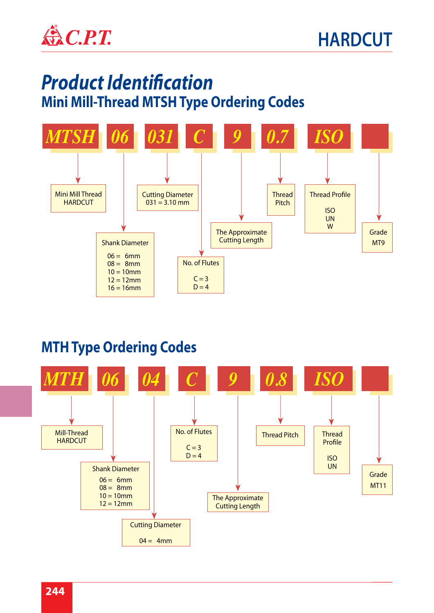

## *Product Identification*  **Mini Mill-Thread MTSH Type Ordering Codes**



#### **MTH Type Ordering Codes**

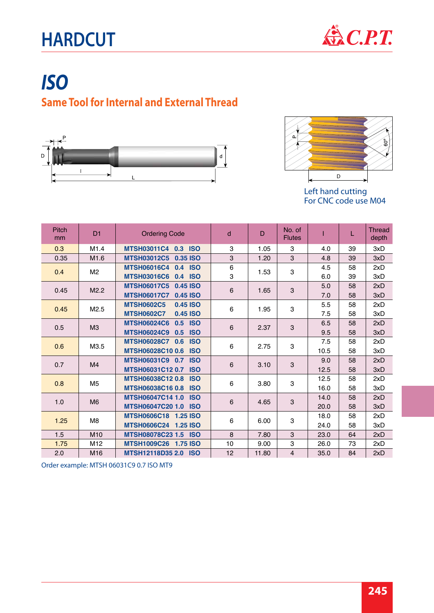# **HARDCUT**



## *ISO* **Same Tool for Internal and External Thread**





For CNC code use M04

| <b>Pitch</b><br>mm | D <sub>1</sub>        | <b>Ordering Code</b>                    | d              | D     | No. of<br><b>Flutes</b>   |      |    | <b>Thread</b><br>depth |
|--------------------|-----------------------|-----------------------------------------|----------------|-------|---------------------------|------|----|------------------------|
| 0.3                | M1.4                  | MTSH03011C4 0.3 ISO                     | 3              | 1.05  | 3                         | 4.0  | 39 | 3xD                    |
| 0.35               | M <sub>1.6</sub>      | <b>MTSH03012C5</b><br>0.35 ISO          | 3              | 1.20  | 3                         | 4.8  | 39 | 3xD                    |
| 0.4                | M <sub>2</sub>        | <b>MTSH06016C4</b><br>0.4 ISO           | 6<br>3         | 1.53  | 3                         | 4.5  | 58 | 2xD                    |
|                    |                       | <b>MTSH03016C6</b><br>0.4 ISO           |                |       |                           | 6.0  | 39 | 3xD                    |
| 0.45               | M2.2                  | <b>MTSH06017C5</b><br>$0.45$ ISO        | $6\phantom{1}$ | 1.65  | 3                         | 5.0  | 58 | 2xD                    |
|                    |                       | <b>MTSH06017C7</b><br>0.45 ISO          |                |       |                           | 7.0  | 58 | 3xD                    |
| 0.45               | M2.5                  | <b>MTSH0602C5</b><br>0.45 ISO           | 6              | 1.95  | $\ensuremath{\mathsf{3}}$ | 5.5  | 58 | 2xD                    |
|                    |                       | <b>MTSH0602C7</b><br>0.45 ISO           |                |       |                           | 7.5  | 58 | 3xD                    |
|                    | M <sub>3</sub><br>0.5 | <b>MTSH06024C6</b><br>0.5 ISO           | 6              | 2.37  | $\mathbf{3}$              | 6.5  | 58 | 2xD                    |
|                    |                       | <b>MTSH06024C9</b><br>0.5<br><b>ISO</b> |                |       |                           | 9.5  | 58 | 3xD                    |
| 0.6                | M3.5                  | MTSH06028C7 0.6<br><b>ISO</b>           | 6              | 2.75  | 3                         | 7.5  | 58 | 2xD                    |
|                    |                       | MTSH06028C10 0.6<br><b>ISO</b>          |                |       |                           | 10.5 | 58 | 3xD                    |
| 0.7                | M <sub>4</sub>        | MTSH06031C9 0.7 ISO                     | 6              | 3.10  | $\sqrt{3}$                | 9.0  | 58 | 2xD                    |
|                    |                       | MTSH06031C12 0.7<br><b>ISO</b>          |                |       |                           | 12.5 | 58 | 3xD                    |
| 0.8                | M <sub>5</sub>        | MTSH06038C12 0.8 ISO                    | 6              | 3.80  | 3                         | 12.5 | 58 | 2xD                    |
|                    |                       | MTSH06038C16 0.8<br><b>ISO</b>          |                |       |                           | 16.0 | 58 | 3xD                    |
| 1.0                | M <sub>6</sub>        | MTSH06047C14 1.0 ISO                    | 6              | 4.65  | $\mathbf{3}$              | 14.0 | 58 | 2xD                    |
|                    |                       | MTSH06047C20 1.0 ISO                    |                |       |                           | 20.0 | 58 | 3xD                    |
| 1.25               | M <sub>8</sub>        | MTSH0606C18 1.25 ISO                    | 6              | 6.00  | $\ensuremath{\mathsf{3}}$ | 18.0 | 58 | 2xD                    |
|                    |                       | MTSH0606C24 1.25 ISO                    |                |       |                           | 24.0 | 58 | 3xD                    |
| 1.5                | M <sub>10</sub>       | MTSH08078C23 1.5 ISO                    | 8              | 7.80  | 3                         | 23.0 | 64 | 2xD                    |
| 1.75               | M <sub>12</sub>       | MTSH1009C26 1.75 ISO                    | 10             | 9.00  | 3                         | 26.0 | 73 | 2xD                    |
| 2.0                | M <sub>16</sub>       | MTSH12118D35 2.0 ISO                    | 12             | 11.80 | $\overline{4}$            | 35.0 | 84 | 2xD                    |

Order example: MTSH 06031C9 0.7 ISO MT9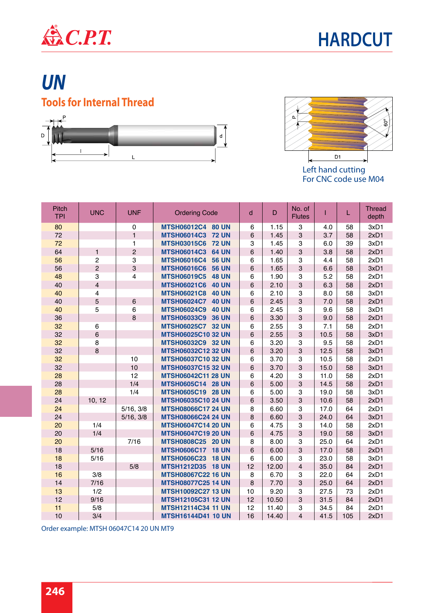



### *UN* **Tools for Internal Thread**





Left hand cutting For CNC code use M04

| <b>Pitch</b><br><b>TPI</b> | <b>UNC</b>              | <b>UNF</b>      | <b>Ordering Code</b>               | d              | D     | No. of<br><b>Flutes</b> |      | L   | <b>Thread</b><br>depth |
|----------------------------|-------------------------|-----------------|------------------------------------|----------------|-------|-------------------------|------|-----|------------------------|
| 80                         |                         | $\Omega$        | MTSH06012C4 80 UN                  | 6              | 1.15  | 3                       | 4.0  | 58  | 3xD1                   |
| 72                         |                         | $\mathbf{1}$    | MTSH06014C3 72 UN                  | 6              | 1.45  | 3                       | 3.7  | 58  | 2xD1                   |
| 72                         |                         | 1               | MTSH03015C6 72 UN                  | 3              | 1.45  | 3                       | 6.0  | 39  | 3xD1                   |
| 64                         | $\mathbf{1}$            | $\overline{2}$  | <b>MTSH06014C3</b><br><b>64 UN</b> | 6              | 1.40  | 3                       | 3.8  | 58  | 2xD1                   |
| 56                         | $\overline{c}$          | 3               | <b>MTSH06016C4</b><br><b>56 UN</b> | 6              | 1.65  | 3                       | 4.4  | 58  | 2xD1                   |
| 56                         | $\overline{2}$          | 3               | <b>MTSH06016C6</b><br><b>56 UN</b> | 6              | 1.65  | 3                       | 6.6  | 58  | 3xD1                   |
| 48                         | 3                       | $\overline{4}$  | <b>MTSH06019C5 48 UN</b>           | 6              | 1.90  | 3                       | 5.2  | 58  | 2xD1                   |
| 40                         | $\overline{4}$          |                 | <b>MTSH06021C6</b><br><b>40 UN</b> | 6              | 2.10  | 3                       | 6.3  | 58  | 2xD1                   |
| 40                         | $\overline{\mathbf{4}}$ |                 | <b>MTSH06021C8</b><br><b>40 UN</b> | 6              | 2.10  | 3                       | 8.0  | 58  | 3xD1                   |
| 40                         | 5                       | $6\phantom{1}6$ | <b>MTSH06024C7</b><br><b>40 UN</b> | $6\phantom{a}$ | 2.45  | 3                       | 7.0  | 58  | 2xD1                   |
| 40                         | 5                       | $6\phantom{1}$  | <b>MTSH06024C9</b><br><b>40 UN</b> | 6              | 2.45  | 3                       | 9.6  | 58  | 3xD1                   |
| 36                         |                         | 8               | <b>MTSH06033C9</b><br><b>36 UN</b> | 6              | 3.30  | 3                       | 9.0  | 58  | 2xD1                   |
| 32                         | 6                       |                 | MTSH06025C7 32 UN                  | 6              | 2.55  | 3                       | 7.1  | 58  | 2xD1                   |
| 32                         | $\,6$                   |                 | <b>MTSH06025C10 32 UN</b>          | $\,6\,$        | 2.55  | 3                       | 10.5 | 58  | 3xD1                   |
| 32                         | 8                       |                 | MTSH06032C9 32 UN                  | 6              | 3.20  | 3                       | 9.5  | 58  | 2xD1                   |
| 32                         | 8                       |                 | <b>MTSH06032C12 32 UN</b>          | $6\phantom{1}$ | 3.20  | 3                       | 12.5 | 58  | 3xD1                   |
| 32                         |                         | 10              | <b>MTSH06037C10 32 UN</b>          | 6              | 3.70  | 3                       | 10.5 | 58  | 2xD1                   |
| 32                         |                         | 10              | <b>MTSH06037C15 32 UN</b>          | 6              | 3.70  | $\mathbf{3}$            | 15.0 | 58  | 3xD1                   |
| 28                         |                         | 12              | <b>MTSH06042C11 28 UN</b>          | 6              | 4.20  | 3                       | 11.0 | 58  | 2xD1                   |
| 28                         |                         | 1/4             | MTSH0605C14 28 UN                  | $\,6$          | 5.00  | 3                       | 14.5 | 58  | 2xD1                   |
| 28                         |                         | 1/4             | MTSH0605C19 28 UN                  | 6              | 5.00  | 3                       | 19.0 | 58  | 3xD1                   |
| 24                         | 10, 12                  |                 | <b>MTSH06035C10 24 UN</b>          | 6              | 3.50  | 3                       | 10.6 | 58  | 2xD1                   |
| 24                         |                         | 5/16, 3/8       | <b>MTSH08066C17 24 UN</b>          | 8              | 6.60  | 3                       | 17.0 | 64  | 2xD1                   |
| 24                         |                         | 5/16, 3/8       | <b>MTSH08066C24 24 UN</b>          | 8              | 6.60  | 3                       | 24.0 | 64  | 3xD1                   |
| 20                         | 1/4                     |                 | <b>MTSH06047C14 20 UN</b>          | 6              | 4.75  | 3                       | 14.0 | 58  | 2xD1                   |
| 20                         | 1/4                     |                 | <b>MTSH06047C19 20 UN</b>          | 6              | 4.75  | 3                       | 19.0 | 58  | 3xD1                   |
| 20                         |                         | 7/16            | MTSH0808C25 20 UN                  | 8              | 8.00  | 3                       | 25.0 | 64  | 2xD1                   |
| 18                         | 5/16                    |                 | MTSH0606C17 18 UN                  | $\,6$          | 6.00  | 3                       | 17.0 | 58  | 2xD1                   |
| 18                         | 5/16                    |                 | MTSH0606C23 18 UN                  | 6              | 6.00  | 3                       | 23.0 | 58  | 3xD1                   |
| 18                         |                         | 5/8             | MTSH1212D35 18 UN                  | 12             | 12.00 | $\overline{\mathbf{4}}$ | 35.0 | 84  | 2xD1                   |
| 16                         | 3/8                     |                 | <b>MTSH08067C22 16 UN</b>          | 8              | 6.70  | 3                       | 22.0 | 64  | 2xD1                   |
| 14                         | $7/16$                  |                 | <b>MTSH08077C25 14 UN</b>          | 8              | 7.70  | 3                       | 25.0 | 64  | 2xD1                   |
| 13                         | 1/2                     |                 | MTSH10092C27 13 UN                 | 10             | 9.20  | 3                       | 27.5 | 73  | 2xD1                   |
| 12                         | 9/16                    |                 | MTSH12105C31 12 UN                 | 12             | 10.50 | 3                       | 31.5 | 84  | 2xD1                   |
| 11                         | 5/8                     |                 | <b>MTSH12114C34 11 UN</b>          | 12             | 11.40 | 3                       | 34.5 | 84  | 2xD1                   |
| 10                         | 3/4                     |                 | <b>MTSH16144D41 10 UN</b>          | 16             | 14.40 | $\overline{4}$          | 41.5 | 105 | 2xD1                   |

Order example: MTSH 06047C14 20 UN MT9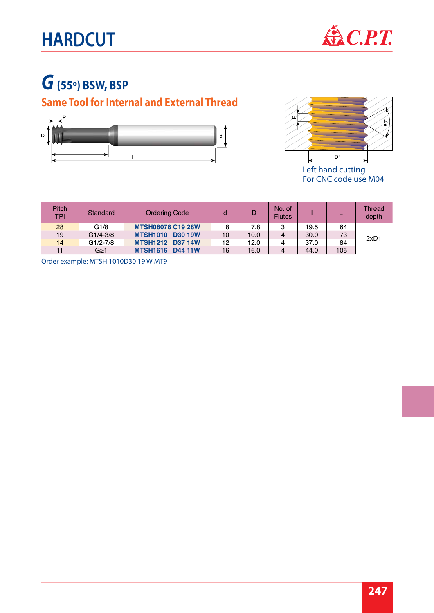# **HARDCUT**



## *G* **(55º) BSW, BSP**

#### **Same Tool for Internal and External Thread**





Left hand cutting For CNC code use M04

| Pitch<br><b>TPI</b> | Standard     | <b>Ordering Code</b>              |    |      | No. of<br><b>Flutes</b> |      |     | <b>Thread</b><br>depth |
|---------------------|--------------|-----------------------------------|----|------|-------------------------|------|-----|------------------------|
| 28                  | G1/8         | <b>MTSH08078 C19 28W</b>          | 8  | 7.8  | 3                       | 19.5 | 64  |                        |
| 19                  | $G1/4 - 3/8$ | <b>MTSH1010</b><br><b>D30 19W</b> | 10 | 10.0 | 4                       | 30.0 | 73  | 2xD1                   |
| 14                  | $G1/2-7/8$   | <b>MTSH1212 D37 14W</b>           | 12 | 12.0 | 4                       | 37.0 | 84  |                        |
| 11                  | $G \geq 1$   | <b>MTSH1616</b><br><b>D44 11W</b> | 16 | 16.0 | 4                       | 44.0 | 105 |                        |

Order example: MTSH 1010D30 19 W MT9